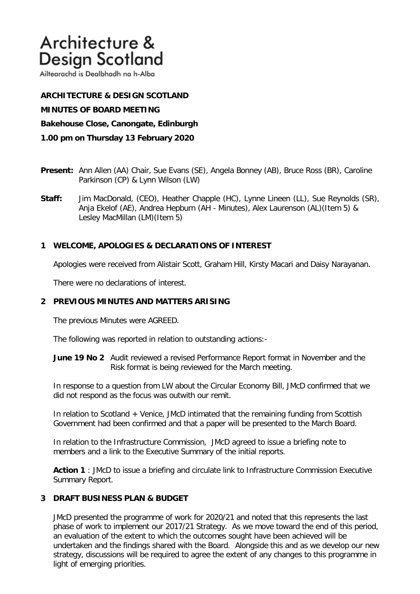# Architecture & **Design Scotland**

Ailtearachd is Dealbhadh na h-Alba

**ARCHITECTURE & DESIGN SCOTLAND MINUTES OF BOARD MEETING Bakehouse Close, Canongate, Edinburgh 1.00 pm on Thursday 13 February 2020**

- **Present:** Ann Allen (AA) Chair, Sue Evans (SE), Angela Bonney (AB), Bruce Ross (BR), Caroline Parkinson (CP) & Lynn Wilson (LW)
- **Staff:** Jim MacDonald, (CEO), Heather Chapple (HC), Lynne Lineen (LL), Sue Reynolds (SR), Anja Ekelof (AE), Andrea Hepburn (AH - Minutes), Alex Laurenson (AL)(Item 5) & Lesley MacMillan (LM)(Item 5)

## **1 WELCOME, APOLOGIES & DECLARATIONS OF INTEREST**

Apologies were received from Alistair Scott, Graham Hill, Kirsty Macari and Daisy Narayanan.

There were no declarations of interest.

### **2 PREVIOUS MINUTES AND MATTERS ARISING**

The previous Minutes were AGREED.

The following was reported in relation to outstanding actions:-

**June 19 No 2** Audit reviewed a revised Performance Report format in November and the Risk format is being reviewed for the March meeting.

In response to a question from LW about the Circular Economy Bill, JMcD confirmed that we did not respond as the focus was outwith our remit.

In relation to Scotland + Venice, JMcD intimated that the remaining funding from Scottish Government had been confirmed and that a paper will be presented to the March Board.

In relation to the Infrastructure Commission, JMcD agreed to issue a briefing note to members and a link to the Executive Summary of the initial reports.

**Action 1** : JMcD to issue a briefing and circulate link to Infrastructure Commission Executive Summary Report.

## **3 DRAFT BUSINESS PLAN & BUDGET**

JMcD presented the programme of work for 2020/21 and noted that this represents the last phase of work to implement our 2017/21 Strategy. As we move toward the end of this period, an evaluation of the extent to which the outcomes sought have been achieved will be undertaken and the findings shared with the Board. Alongside this and as we develop our new strategy, discussions will be required to agree the extent of any changes to this programme in light of emerging priorities.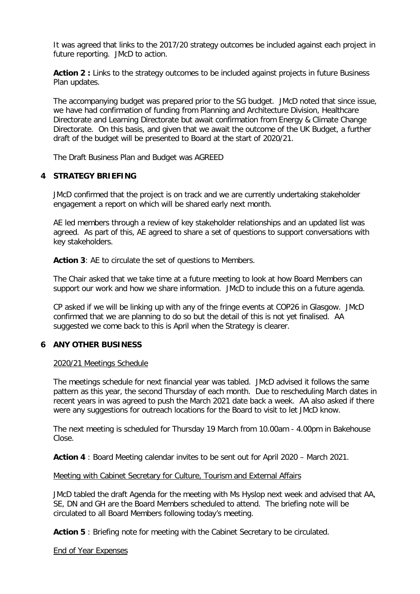It was agreed that links to the 2017/20 strategy outcomes be included against each project in future reporting. JMcD to action.

Action 2 : Links to the strategy outcomes to be included against projects in future Business Plan updates.

The accompanying budget was prepared prior to the SG budget. JMcD noted that since issue, we have had confirmation of funding from Planning and Architecture Division, Healthcare Directorate and Learning Directorate but await confirmation from Energy & Climate Change Directorate. On this basis, and given that we await the outcome of the UK Budget, a further draft of the budget will be presented to Board at the start of 2020/21.

The Draft Business Plan and Budget was AGREED

### **4 STRATEGY BRIEFING**

JMcD confirmed that the project is on track and we are currently undertaking stakeholder engagement a report on which will be shared early next month.

AE led members through a review of key stakeholder relationships and an updated list was agreed. As part of this, AE agreed to share a set of questions to support conversations with key stakeholders.

Action 3: AE to circulate the set of questions to Members.

The Chair asked that we take time at a future meeting to look at how Board Members can support our work and how we share information. JMcD to include this on a future agenda.

CP asked if we will be linking up with any of the fringe events at COP26 in Glasgow. JMcD confirmed that we are planning to do so but the detail of this is not yet finalised. AA suggested we come back to this is April when the Strategy is clearer.

### **6 ANY OTHER BUSINESS**

### 2020/21 Meetings Schedule

The meetings schedule for next financial year was tabled. JMcD advised it follows the same pattern as this year, the second Thursday of each month. Due to rescheduling March dates in recent years in was agreed to push the March 2021 date back a week. AA also asked if there were any suggestions for outreach locations for the Board to visit to let JMcD know.

The next meeting is scheduled for Thursday 19 March from 10.00am - 4.00pm in Bakehouse Close.

**Action 4** : Board Meeting calendar invites to be sent out for April 2020 – March 2021.

### Meeting with Cabinet Secretary for Culture, Tourism and External Affairs

JMcD tabled the draft Agenda for the meeting with Ms Hyslop next week and advised that AA, SE, DN and GH are the Board Members scheduled to attend. The briefing note will be circulated to all Board Members following today's meeting.

**Action 5** : Briefing note for meeting with the Cabinet Secretary to be circulated.

End of Year Expenses